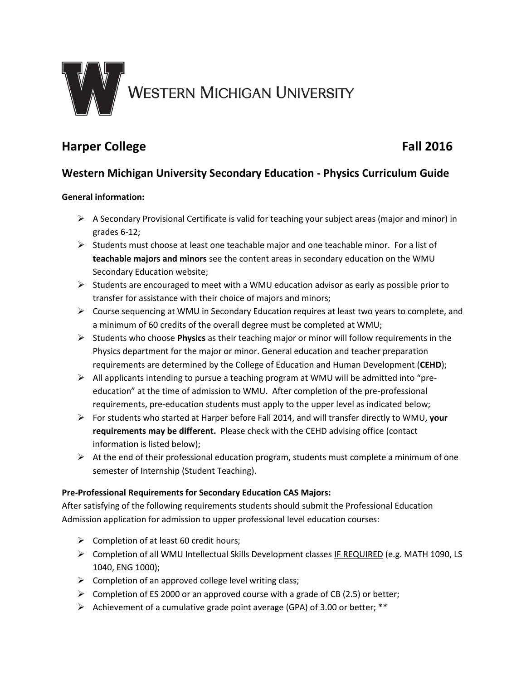

# **Harper College Fall 2016**

## **Western Michigan University Secondary Education - Physics Curriculum Guide**

### **General information:**

- $\triangleright$  A Secondary Provisional Certificate is valid for teaching your subject areas (major and minor) in grades 6-12;
- $\triangleright$  Students must choose at least one teachable major and one teachable minor. For a list of **teachable majors and minors** see the content areas in secondary education on the WMU Secondary Education website;
- $\triangleright$  Students are encouraged to meet with a WMU education advisor as early as possible prior to transfer for assistance with their choice of majors and minors;
- Course sequencing at WMU in Secondary Education requires at least two years to complete, and a minimum of 60 credits of the overall degree must be completed at WMU;
- Students who choose **Physics** as their teaching major or minor will follow requirements in the Physics department for the major or minor. General education and teacher preparation requirements are determined by the College of Education and Human Development (**CEHD**);
- All applicants intending to pursue a teaching program at WMU will be admitted into "preeducation" at the time of admission to WMU. After completion of the pre-professional requirements, pre-education students must apply to the upper level as indicated below;
- For students who started at Harper before Fall 2014, and will transfer directly to WMU, **your requirements may be different.** Please check with the CEHD advising office (contact information is listed below);
- $\triangleright$  At the end of their professional education program, students must complete a minimum of one semester of Internship (Student Teaching).

#### **Pre-Professional Requirements for Secondary Education CAS Majors:**

After satisfying of the following requirements students should submit the Professional Education Admission application for admission to upper professional level education courses:

- $\triangleright$  Completion of at least 60 credit hours;
- Completion of all WMU Intellectual Skills Development classes IF REQUIRED (e.g. MATH 1090, LS 1040, ENG 1000);
- $\triangleright$  Completion of an approved college level writing class;
- $\triangleright$  Completion of ES 2000 or an approved course with a grade of CB (2.5) or better;
- Achievement of a cumulative grade point average (GPA) of 3.00 or better;  $**$